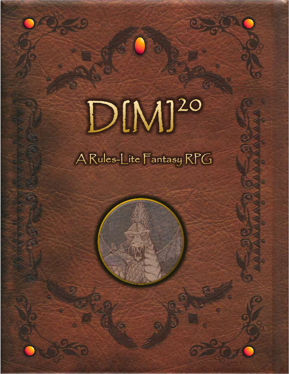DIM<sup>20</sup>

**D(M)<sup>20</sup>**

A Rules-Lite Fantasy RPG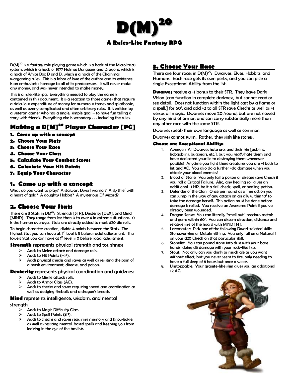

D(M) $^{20}$  is a fantasy role playing game which is a hack of the Microlite20 system, which is a hack of 1977 Holmes Dungeons and Dragons, which is a hack of White Box D and D, which is a hack of the Chainmail wargaming rules. This is a labor of love of the author and its existence is an enthusiastic homage to all of its predecessors. It will never make any money, and was never intended to make money.

This is a rules-lite rpg. Everything needed to play the game is contained in this document. It is a reaction to those games that require a ridiculous expenditure of money for numerous tomes and splatbooks, as well as overly complicated and often arbitrary rules. It is written by a veteran gamer who has a single, simple goal – to have fun telling a story with friends. Everything else is secondary . . . including the rules.

# **Making a D[M]<sup>20</sup> Player Character [PC]**

- **1. Come up with a concept**
- **2. Choose Your Stats**
- **3. Choose Your Race**
- **4. Choose Your Class**
- **5. Calculate Your Combat Scores**
- **6. Calculate Your Hit Points**
- **7. Equip Your Character**

## **1. Come up with a concept**

What do you want to play? A stalwart Dwarf warrior? A sly thief with a heart of gold? A doughty Hobbit? A mysterious Elf wizard?

## **2. Choose Your Stats**

There are 3 Stats in DM<sup>20</sup>: Strength [STR], Dexterity [DEX], and Mind {MIND]. They range from less than 0 to over 4 in extreme situations. 0 is the human average. Stats are directly added to most d20 die rolls.

To begin character creation, divide 4 points between the Stats. The highest Stat you can have at  $1<sup>st</sup>$  level is 3 before racial adjustment. The lowest Stat you can have at  $1<sup>st</sup>$  level is 0 before racial adjustment.

### **Strength** represents physical strength and toughness

- $\triangleright$  Adds to Melee attack and damage rolls.
- Adds to Hit Points (HP).
- $\triangleright$  Adds physical checks and saves as well as resisting the pain of a harsh environment, disease, and poison.

### **Dexterity** represents physical coordination and quickness

- $\triangleright$  Adds to Missile attack rolls.
- Adds to Armor Class (AC).
- $\triangleright$  Adds to checks and saves requiring speed and coordination as well as dodging fireballs and a dragon's breath.

## **Mind** represents intelligence, wisdom, and mental

strength

- Adds to Magic Difficulty Class.<br>
Adds to Spell Doints (SD)
	- Adds to Spell Points (SP).
- $\triangleright$  Adds to checks and saves requiring memory and knowledge, as well as resisting mental-based spells and keeping you from looking in the eye of the basilisk.

## **3. Choose Your Race**

There are four races in D(M)<sup>20</sup>: Dwarves, Elves, Hobbits, and Humans. Each race gets its own perks, and you can pick a single Exceptional Ability from the list.

**Dwarves** receive a +1 bonus to their STR. They have Dark Vision [can function in complete darkness, but cannot read or see detail. Does not function within the light cast by a flame or a spell.] for 60', and add +2 to all STR save Checks as well as +1 versus all magic. Dwarves move 20'/round, but are not slowed by any kind of armor, and can carry substantially more than any other race with the same STR.

Dwarves speak their own language as well as common.

Dwarves cannot swim. Rather, they sink like stones.

- 1. Avenger: All Dwarves hate orcs and their kin [goblins, hobgoblins, bugbears, etc.], but you really hate them and have dedicated your lie to destroying them whenever possible! Anytime you fight these creatures you are +1 both to hit and AC. You also do a further +d6 damage when you attack your blood enemies!
- 2. Blood of Stone: You only fail a poison or disease save Check if you roll a Critical Failure. Also, any healing roll gives an additional +1 HP, be it a skill check, spell, or healing potion.
- 3. Defender of the Clan: Once per round as a free action you can jump in the way of any attack on an ally within 10' to take the damage herself. This action must be done before damage is rolled. You receive an Awesome Point if you've already been wounded.
- 4. Dragon Sense: You can literally "smell out" precious metals and gems within 60'. You can discern direction, distance and relative size of the hoard with MIND [14].
- 5. Loremaster: Pick one of the following Dwarf-related skills: Stoneworking or Metalsmithing. You only fail on a Natural 1 on your d20 Check on that particular skill.
- 6. Stonefist: You can pound stone into dust with your bare hands, doing d6 damage with your rock-like fists.
- 7. Stout: Not only can you drink as much ale as you want without effect, but you never seem to tire, only needing to have a full sleep of 8 hours but once a week.
- 8. Unstoppable: Your granite-like skin gives you an additional +2 AC.

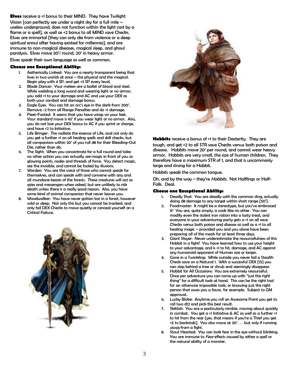### **Elves** receive a +1 bonus to their MIND. They have Twilight

Vision [can perfectly see under a night sky for a full mile – useless underground, does not function within the light cast by a flame or a spell], as well as +2 bonus to all MIND save Checks. Elves are immortal [they can only die from violence or a deep spiritual ennui after having existed for millennia], and are immune to non-magical diseases, magical sleep, and ghoul paralysis. Elves move 30'/ round, 20' in heavy armor.

Elves speak their own language as well as common.

### **Choose one Exceptional Ability:**

- 1. Aetherically Linked: You are a nearly transparent being that lives in two worlds at once – the physical and the magical. Begin play with 4 SP, and get +3 SP every level.
- 2. Blade Dancer: Your melees are a ballet of blood and steel. While wielding a long sword and wearing light or no armor, you add +1 to your damage and AC and use your DEX as both your combat and damage bonus.
- 3. Eagle Eyes: You can hit an orc's eye in the dark from 200'. Remove -2 from all Range Penalties and do +1 damage.
- 4. Fleet-Footed: It seems that you have wings on your feet. Your standard move is 45' if you wear light or no armor. Also, you do not lose your DEX bonus to AC if you sprint or charge, and have +2 to Initiative.
- Life Bringer: The radiate the essence of Life, and not only do you get a further +1 on all healing spells and skill checks, but all companions within 20' of you roll d8 for their Bleeding-Out Die, rather than d6.
- 6. The Sight: When you concentrate for a full round and take no other action you can actually see magic in front of you as glowing points, nodes and threads of force. You detect magic, see the invisible, and cannot be fooled by illusions.
- 7. Warden: You are the voice of those who cannot speak for themselves, and can speak with and converse with any and all mundane beasts of the forests. These creatures will act as spies and messengers when asked, but are unlikely to risk death unless there is a really good reason. Also, you have some kind of animal companion that never leaves you.
- 8. Woodwalker: You have never gotten lost in a forest, however wild or deep. Not only this but you cannot be tracked, and only fail DEX Checks to move quietly or conceal yourself on a Critical Failure.





**Hobbits** receive a bonus of +1 to their Dexterity. They are tough, and get +2 to all STR save Checks versus both poison and disease. Hobbits move 20' per round, and cannot wear heavy armor. Hobbits are very small, the size of human children. They therefore have a maximum STR of 1, and that is uncommonly large and strong for a Hobbit.

Hobbits speak the common tongue.

Oh, and by the way ~ they're *Hobbits*. Not Halflings or Half-Folk. Deal.

- 1. Deadly Shot: You are deadly with the common sling, actually doing d8 damage to any target within short range [50'].
- 2. Foodmaster: It might be a stereotype, but you've embraced it! You are, quite simply, a cook like no other. You can modify even the stalest iron ration into a tasty treat, and everyone in your adventuring party gets a +1 on all save Checks versus both poison and disease as well as a +1 to all healing magic – provided you and you alone have been preparing all of the meals for at least three days.
- 3. Giant Slayer: Never underestimate the resourcefulness of this Hobbit in a fight! You have learned how to use your height to your advantage, and is +1 to hit, damage, and AC against any humanoid opponent of Human size or larger.
- 4. Gone in a Twinkling: While outside you never fail a Stealth Check save on a Natural 1. With a successful DEX [15] you can step behind a tree or shrub and seemingly disappear.
- 5. Hobbit for All Occasions: You are extremely resourceful. Once per adventure you can come up with "just the right thing" for a difficult task at hand. This can be the right tool for an otherwise impossible task, or knowing just the right person that owes you a favor, for example. Subject to GM approval.
- 6. Lucky Bloke: Anytime you roll an Awesome Point you get to roll two d12 and pick the best result.
- 7. Skittish: You are a particularly nimble, moving about quickly in combat. You get a +1 Initiative & AC as well as a further +1 to hit from the rear [yes, that means if you're a Thief you get +5 to backstab]. You also move at 30' . . . but only if running away from a fight.
- 8. Stout Hearted: You can look fear in the eye without blinking. You are immune to Fear effects caused by either a spell or the natural ability of a monster.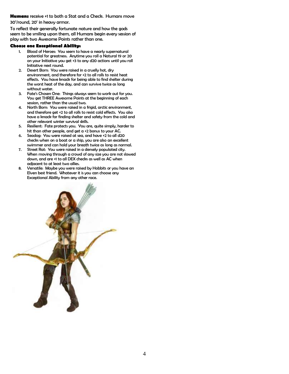**Humans** receive +1 to both a Stat and a Check. Humans move 30'/round, 20' in heavy armor.

To reflect their generally fortunate nature and how the gods seem to be smiling upon them, all Humans begin every session of play with two Awesome Points rather than one.

- 1. Blood of Heroes: You seem to have a nearly supernatural potential for greatness. Anytime you roll a Natural 19 or 20 on your Initiative you get +3 to any d20 actions until you roll Initiative next round.
- 2. Desert Born: You were raised in a cruelly hot, dry environment, and therefore for +2 to all rolls to resist heat effects. You have knack for being able to find shelter during the worst heat of the day, and can survive twice as long without water.
- 3. Fate's Chosen One: Things always seem to work out for you. You get THREE Awesome Points at the beginning of each session, rather than the usual two.
- 4. North Born: You were raised in a frigid, arctic environment, and therefore get +2 to all rolls to resist cold effects. You also have a knack for finding shelter and safety from the cold and other relevant winter survival skills.
- 5. Resilient: Fate protects you. You are, quite simply, harder to hit than other people, and get a +2 bonus to your AC.
- 6. Seadog: You were raised at sea, and have +2 to all d20 checks when on a boat or a ship, you are also an excellent swimmer and can hold your breath twice as long as normal.
- 7. Street Rat: You were raised in a densely populated city. When moving through a crowd of any size you are not slowed down, and are +1 to all DEX checks as well as AC when adjacent to at least two allies.
- 8. Versatile: Maybe you were raised by Hobbits or you have an Elven best friend. Whatever it is you can choose any Exceptional Ability from any other race.

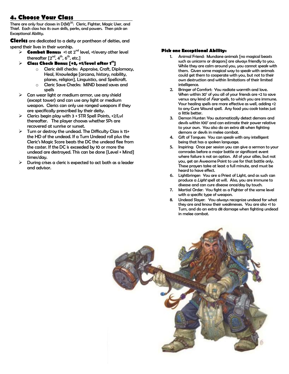## **4. Choose Your Class**

There are only four classes in  $D(M)^{2O}$ : Cleric, Fighter, Magic User, and Thief. Each class has its own skills, perks, and powers. Then pick an Exceptional Ability.

**Clerics** are dedicated to a deity or pantheon of deities, and spend their lives in their worship.

- **Combat Bonus:**  $+1$  at 2<sup>nd</sup> level,  $+1$ /every other level thereafter  $[2^{nd}, 4^{th}, 6^{th},$  etc.]
- **Class Check Bonus [+3, +1/level after 1st]**
	- o Cleric skill checks: Appraise, Craft, Diplomacy, Heal, Knowledge [arcana, history, nobility, planes, religion], Linguistics, and Spellcraft.
	- o Cleric Save Checks: MIND based saves and spells
- Can wear light or medium armor, use any shield (except tower) and can use any light or medium weapon. Clerics can only use ranged weapons if they are specifically prescribed by their deity.
- $\triangleright$  Clerics begin play with 3 + STR Spell Points, +2/Lvl thereafter. The player chooses whether SPs are recovered at sunrise or sunset.
- $\triangleright$  Turn or destroy the undead. The Difficulty Class is 15+ the HD of the undead. If a Turn Undead roll plus the Cleric's Magic Score beats the DC the undead flee from the caster. If the DC is exceeded by 10 or more the undead are destroyed. This can be done [Level + Mind] times/day.
- During crises a cleric is expected to act both as a leader and advisor.

### **Pick one Exceptional Ability:**

- 1. Animal Friend: Mundane animals [no magical beasts such as unicorns or dragons] are always friendly to you. While they are calm around you, you cannot speak with them. Given some magical way to speak with animals could get them to cooperate with you, but not to their own destruction and within limitations of their limited intelligence.
- 2. Bringer of Comfort: You radiate warmth and love. When within 30' of you all of your friends are +2 to save versus any kind of Fear spells, to which you are immune. Your healing spells are more effective as well, adding +2 to any Cure Wound spell. Any food you cook tastes just a little better.
- 3. Demon Hunter: You automatically detect demons and devils within 100' and can estimate their power relative to your own. You also do an extra d8 when fighting demons or devils in melee combat.
- 4. Gift of Tongues: You can speak with any intelligent being that has a spoken language.
- 5. Inspiring: Once per session you can give a sermon to your comrades before a major battle or significant event where failure is not an option. All of your allies, but not you, get an Awesome Point to use for that battle only. These prayers take at least a full minute, and must be heard to have effect.
- 6. Lightbringer: You are a Priest of Light, and as such can produce a Light spell at will. Also, you are immune to disease and can cure disease once/day by touch.
- 7. Martial Order: You fight as a Fighter of the same level with a specific type of weapon.
- 8. Undead Slayer: You always recognize undead for what they are and know their weaknesses. You are also +1 to Turn, and do an extra d8 damage when fighting undead in melee combat.

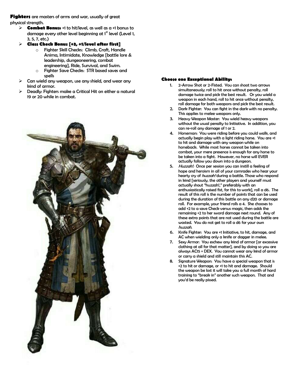**Fighters** are masters of arms and war, usually of great physical strength.

- **Combat Bonus:** +1 to hit/level, as well as  $\alpha$  +1 bonus to damage every other level beginning at  $1<sup>st</sup>$  level (Level 1, 3, 5, 7, etc.)
- **Class Check Bonus [+3, +1/level after first]**
	- o Fighter Skill Checks: Climb, Craft, Handle Anima, Intimidate, Knowledge [battle lore & leadership, dungeoneering, combat engineering], Ride, Survival, and Swim. o Fighter Save Checks: STR based saves and
- spells Can wield any weapon, use any shield, and wear any kind of armor.
- Deadly: Fighters make a Critical Hit on either a natural 19 or 20 while in combat.



- 1. 2-Arrow Shot or 2-Fisted. You can shoot two arrows simultaneously; roll to hit once without penalty, roll damage twice and pick the best result. Or you wield a weapon in each hand, roll to hit once without penalty, roll damage for both weapons and pick the best result.
- 2. Dark Fighter: You can fight in the dark with no penalty. This applies to melee weapons only.
- 3. Heavy Weapon Master: You wield heavy weapons without the usual penalty to Initiative. In addition, you can re-roll any damage of 1 or 2.
- 4. Horseman: You were riding before you could walk, and actually begin play with a light riding horse. You are +1 to hit and damage with any weapon while on horseback. While most horses cannot be taken into combat, your mere presence is enough for any horse to be taken into a fight. However, no horse will EVER actually follow you down into a dungeon.
- 5. Huzzah!: Once per session you can instill a feeling of hope and heroism in all of your comrades who hear your hearty cry of *huzzah!* during a battle. Those who respond in kind [seriously, the other players and yourself must actually shout "huzzah!," preferably with an enthusiastically raised fist, for this to work], roll a d6. The result of this roll is the number of points that can be used during the duration of this battle on any d20 or damage roll. For example, your friend rolls a 4. She chooses to add +2 to a save Check versus magic, then adds the remaining +2 to her sword damage next round. Any of these extra points that are not used during the battle are wasted. You do not get to roll a d6 for your own huzzah.
- 6. Knife Fighter: You are +1 Initiative, to hit, damage, and AC when wielding only a knife or dagger in melee.
- 7. Sexy Armor: You eschew any kind of armor [or excessive clothing at all for that matter], and by doing so you are always AC15 + DEX. You cannot wear any kind of armor or carry a shield and still maintain this AC.
- 8. Signature Weapon: You have a special weapon that is +2 to hit or damage, or +1 to hit and damage. Should the weapon be lost it will take you a full month of hard training to "break in" another such weapon. That and you'd be really pissed.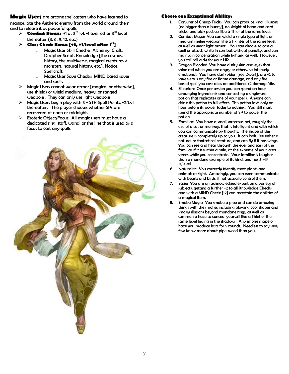**Magic Users** are arcane spellcasters who have learned to manipulate the Aetheric energy from the world around them and to release it as powerful spells.

- **Combat Bonus:**  $+1$  at 3<sup>rd</sup> lvl,  $+1$  ever other 3<sup>rd</sup> level thereafter (3, 6, 9, 12, etc.)
- **Class Check Bonus [+3, +1/level after 1st]**
	- o Magic User Skill Checks: Alchemy, Craft, Decipher Script, Knowledge [the cosmos, history, the multiverse, magical creatures & monsters, natural history, etc.], Notice, Spellcraft.
	- o Magic User Save Checks: MIND based saves and spells
- Magic Users cannot wear armor [magical or otherwise], use shields or wield medium, heavy, or ranged weapons. They can only use light weapons.
- $\triangleright$  Magic Users begin play with 3 + STR Spell Points, +2/Lyl thereafter. The player chooses whether SPs are recovered at noon or midnight.
- Esoteric Object/Focus: All magic users must have a dedicated ring, staff, wand, or the like that is used as a focus to cast any spells.



- 1. Conjurer of Cheap Tricks: You can produce small illusions [no bigger than a bunny], do sleight of hand and card tricks, and pick pockets like a Thief of the same level.
- 2. Combat Mage: You can wield a single type of light or medium melee weapon like a Fighter of the same level, as well as wear light armor. You can choose to cast a spell or attack while in combat without penalty, and can maintain concentration while fighting as well. However, you still roll a d4 for your HP.
- 3. Dragon Blooded: You have dusky skin and eyes that shine red when you are angry or otherwise intensely emotional. You have dark vision [see Dwarf], are +2 to save versus any fire or flame damage, and any firebased spell you cast does an additional +2 damage/die.
- 4. Elixarian: Once per session you can spend an hour scrounging ingredients and concocting a single-use potion that replicates one of your spells. Anyone can drink this potion to full effect. This potion lasts only an hour before its power fades to nothing. You still must spend the appropriate number of SP to power the potion.
- 5. Familiar: You have a small sorcerous pet, roughly the size of a cat or monkey, that is intelligent and with which you can communicate by thought. The shape of this creature is completely up to you. It can look like either a natural or fantastical creature, and can fly if it has wings. You can see and hear through the eyes and ears of the familiar if it is within a mile, at the expense of your own senses while you concentrate. Your familiar is tougher than a mundane example of its kind, and has 5 HP +1/level.
- 6. Naturalist: You correctly identify most plants and animals at sight. Amazingly, you can even communicate with beasts and birds, if not actually control them.
- 7. Sage: You are an acknowledged expert on a variety of subjects, getting a further +2 to all Knowledge Checks, and with a MIND Check [12] can ascertain the abilities of a magical item.
- 8. Smoke Magic: You smoke a pipe and can do amazing things with the smoke, including blowing cool shapes and smoky illusions beyond mundane rings, as well as summon a haze to conceal yourself like a Thief of the same level hiding in the shadows. Any smoke shape or haze you produce lasts for 5 rounds. Needless to say very few know more about pipe-weed than you.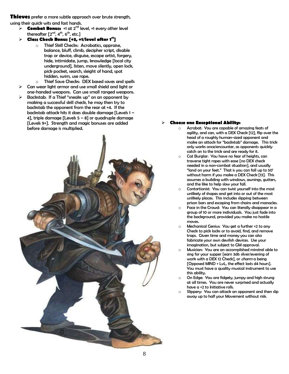**Thieves** prefer a more subtle approach over brute strength, using their quick wits and fast hands.

- **Combat Bonus:**  $+1$  at 2<sup>nd</sup> level,  $+1$  every other level thereafter  $[2^{nd}, 4^{th}, 6^{th},$  etc.]
- **Class Check Bonus [+3, +1/level after 1st]**
	- o Thief Skill Checks: Acrobatics, appraise, balance, bluff, climb, decipher script, disable trap or device, disguise, escape artist, forgery, hide, intimidate, jump, knowledge [local city underground], listen, move silently, open lock, pick pocket, search, sleight of hand, spot hidden, swim, use rope.
	- o Thief Save Checks: DEX based saves and spells
- Can wear light armor and use small shield and light or one-handed weapons. Can use small ranged weapons.
- Backstab: If a Thief "sneaks up" on an opponent by making a successful skill check, he may then try to backstab the opponent from the rear at +4. If the backstab attack hits it does double damage [Levels 1 – 4], triple damage [Levels  $5 - 8$ ] or quadruple damage [Levels 9+]. Strength and magic bonuses are added before damage is multiplied.



- o Acrobat: You are capable of amazing feats of agility, and can, with a DEX Check [12], flip over the head of a roughly human-sized opponent and make an attack for "backstab" damage. This trick only works once/encounter, as opponents quickly catch on to the trick and are ready for it.
- o Cat Burglar: You have no fear of heights, can traverse tight ropes with ease [no DEX check needed in a non-combat situation], and usually "land on your feet." That is you can fall up to 50' without harm if you make a DEX Check [13]. This assumes a building with windows, awnings, gutters, and the like to help slow your fall.
- o Contortionist: You can twist yourself into the most unlikely of shapes and get into or out of the most unlikely places. This includes slipping between prison bars and escaping from chains and manacles.
- o Face in the Crowd: You can literally disappear in a group of 10 or more individuals. You just fade into the background, provided you make no hostile moves.
- o Mechanical Genius: You get a further +2 to any Check to pick locks or to avoid, find, and remove traps. Given time and money you can also fabricate your own devilish devices. Use your imagination, but subject to GM approval.
- o Musician: You are an accomplished minstrel able to sing for your supper [earn 3d6 silver/evening of work with a DEX 12 Check], or *charm* a being [Opposed MIND + LvL, the effect lasts d4 hours]. You must have a quality musical instrument to use this ability.
- o On Edge: You are fidgety, jumpy and high strung at all times. You are never surprised and actually have a +2 to Initiative rolls.
- o Slippery: You can attack an opponent and then slip away up to half your Movement without risk.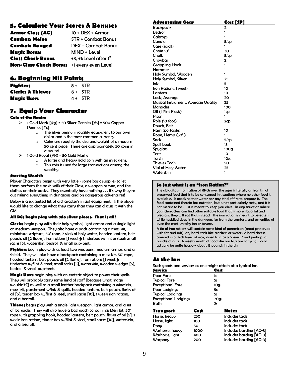## **5. Calculate Your Scores & Bonuses**

| <b>Armor Class (AC)</b>                          | $10 + DEX + Armor$        |
|--------------------------------------------------|---------------------------|
| <b>Combat: Melee</b>                             | <b>STR + Combat Bonus</b> |
| <b>Combat: Ranged</b>                            | <b>DEX + Combat Bonus</b> |
| <b>Magic Bonus</b>                               | MIND + Level              |
| <b>Class Check Bonus</b>                         | +3, +1/Level after $1st$  |
| <b>Non-Class Check Bonus</b> +1 every even Level |                           |

## **6. Beginning Hit Points**

| <b>Fighters</b>              | $8 + STR$ |
|------------------------------|-----------|
| <b>Clerics &amp; Thieves</b> | $6+$ STR  |
| Magic Users                  | $4 + STR$ |

## **7. Equip Your Character**

### **Coin of the Realm**

 1 Gold Mark [#g] = 50 Silver Pennies [#s] = 500 Copper Pennies [#c]

- The silver penny is roughly equivalent to our own dollar and is the most common currency.
- $\circ$  Coins are roughly the size and weight of a modern 50 cent piece. There are approximately 50 coins in a pound.
- 1 Gold Royal (#R) = 50 Gold Marks
	- o A large and heavy gold coin with an inset gem.
	- o This coin is used for large transactions among the wealthy.

### **Starting Wealth**

Player Characters begin with very little - some basic supplies to let them perform the basic skills of their Class, a weapon or two, and the clothes on their backs. They essentially have nothing . . . it's why they're out risking everything in dungeons and on dangerous adventures!

Below is a suggested list of a character's initial equipment. If the player would like to change what they carry than they can discuss it with the GM.

### **All PCs begin play with 3d6 silver pieces. That is all!**

**Clerics** begin play with their holy symbol, light armor and a single light or medium weapon. They also have a pack containing a mess kit, miniature scripture, 50' rope, 2 vials of holy water, hooded lantern, belt pouch, oil [2 flasks], iron rations [1 week]; tinderbox w/flint & steel; small sacks [5], waterskin, bedroll & small pup-tent.

**Fighters** begin play with at least two weapons, medium armor, and a shield. They will also have a backpack containing a mess kit, 50' rope, hooded lantern, belt pouch, oil [2 flasks], iron rations [1 week]; tinderbox w/flint & steel; small sacks [5], waterskin, wooden wedges [5], bedroll & small pup-tent.

**Magic Users** begin play with an esoteric object to power their spells. They will probably carry some kind of staff [because what mage wouldn't?] as well as a small leather backpack containing a wineskin, mess kit, parchment w/ink & quills, hooded lantern, belt pouch, flasks of oil [5], tinder box w/flint & steel, small sacks [10], 1 week iron rations, and a bedroll.

**Thieves** begin play with a single light weapon, light armor, and a set of lockpicks. They will also have a backpack containing: Mess kit, 50' rope with grappling hook, hooded lantern, belt pouch, flasks of oil [5], 1 week iron rations, tinder box w/flint & steel, small sacks [10], waterskin, and a bedroll.

| Adventuring Gear                    | Cost [SP]  |
|-------------------------------------|------------|
| <b>Backpack</b>                     | 2          |
| <b>Bedroll</b>                      | 1          |
| Caltrops                            | 1          |
| Candle                              | $5$ / $cp$ |
| Case (scroll)                       | 1          |
| Chain 10'                           | 30         |
| Chalk                               | $5$ / $cp$ |
| Crowbar                             | 2          |
| <b>Grappling Hook</b>               | 1          |
| Hammer                              | 1          |
| Holy Symbol, Wooden                 | 1          |
| Holy Symbol, Silver                 | 25         |
| Ink                                 | 5          |
| Iron Rations, 1 week                | 10         |
| Lantern                             | 10         |
| Lock, Average                       | 20         |
| Musical Instrument, Average Quality | 25         |
| <b>Manacles</b>                     | 100        |
| Oil (1 Pint Flask)                  | 1cp        |
| Piton                               | 1          |
| Pole (10 foot)                      | 2cp        |
| Pouch, Belt                         | 1          |
| Ram (portable)                      | 10         |
| Rope, Hemp (50')                    | 1          |
| Sack                                | $5$ / $cp$ |
| Spell book                          | 15         |
| Spyglass                            | 100g       |
| Tent                                | 10         |
| Torch                               | 10/s       |
| <b>Thieves Tools</b>                | 50         |
| Vial of Holy Water                  | 25         |
| Waterskin                           | 1          |

### **So just what is an "Iron Ration?"**

The ubiquitous iron ration of RPGs over the ages is literally an iron tin of preserved food that is to be consumed in situations where no other food is available. It needs neither water nor any kind of fire to prepare it. The food contained therein has nutrition, but is not particularly tasty, and it is not meant to be . . . it is meant to keep you alive. In any situation where your characters can find other suitable food that is more flavorful and pleasant they will eat that instead. The iron ration is meant to be eaten while huddled deep in the dungeon, far from the comforts and amenities of even the most sketchy inn or tavern.

A tin of iron rations will contain some kind of pemmican [meat preserved with fat and salt], dry hard-tack like crackers or wafers, a hard cheese covered in a thick layer of wax, dried fruit as a "desert," and perhaps a bundle of nuts. A week's worth of food like our PCs are carrying would actually be quite heavy ~ about 15 pounds in the tin.

## **At the Inn**

Such goods and services as one might attain at a typical inn.

| Service                     |      | Cost                    |
|-----------------------------|------|-------------------------|
| Poor Fare                   |      | 1c                      |
| <b>Typical Fare</b>         |      | 5٤                      |
| <b>Exceptional Fare</b>     |      | $10g+$                  |
| Poor Lodgings               |      | 5c                      |
| <b>Typical Lodgings</b>     |      | 5٤                      |
| <b>Exceptional Lodgings</b> |      | $20g+$                  |
| Bath                        |      | 2s                      |
| <b>Transport</b>            | Cost | <b>Notes</b>            |
| Horse, heavy                | 250  | Includes tack           |
| Horse, light                | 100  | Includes tack           |
| Pony                        | 50   | Includes tack           |
| Warhorse, heavy             | 1000 | Includes barding [AC+3] |
| Warhorse, light             | 400  | Includes barding [AC+3] |
| Warpony                     | 200  | Includes barding [AC+3] |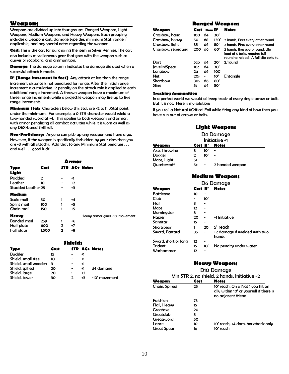## **Weapons**

Weapons are divided up into four groups: Ranged Weapons, Light Weapons, Medium Weapons, and Heavy Weapons. Each grouping includes a weapons cost, damage type die, minimum Stat, range if applicable, and any special notes regarding the weapon.

**Cost**: This is the cost for purchasing the item in Silver Pennies. The cost also includes miscellaneous gear that goes with the weapon such as quiver or scabbard, and ammunition.

**Damage**: The damage column indicates the damage die used when a successful attack is made.

**R' [Range Increment in feet]**: Any attack at less than the range increment distance is not penalized for range. After the initial range increment a cumulative -2 penalty on the attack role is applied to each additional range increment. A thrown weapon have a maximum of three range increments while a projectile weapon may fire up to five range increments.

**Minimum Stat:** Characters below this Stat are -2 to hit/Stat point under the minimum. For example, a 0 STR character would wield a two-handed sword at -4. This applies to both weapons and armor, with armor penalizing all combat activities while it is worn as well as any DEX-based Skill roll.

**Non-Proficiency:** Anyone can pick up any weapon and have a go. However, if the weapon is specifically forbidden by your class then you are -3 with all attacks. Add that to any Minimum Stat penalties ... and well . . . good luck!

| Armor                     |       |   |      |                                 |  |
|---------------------------|-------|---|------|---------------------------------|--|
| Type                      | Cost  |   |      | <b>STR AC+ Notes</b>            |  |
| Light                     |       |   |      |                                 |  |
| Padded                    | 2     |   | +1   |                                 |  |
| Leather                   | 10    |   | $+2$ |                                 |  |
| <b>Studded Leather 25</b> |       |   | $+3$ |                                 |  |
| Medium                    |       |   |      |                                 |  |
| Scale mail                | 50    | 1 | +4   |                                 |  |
| Splint mail               | 100   | 1 | +5   |                                 |  |
| Chain mail                | 150   | 1 | $+5$ |                                 |  |
| Heavy                     |       |   |      | Heavy armor gives -10' movement |  |
| <b>Banded mail</b>        | 259   | 1 | +6   |                                 |  |
| Half plate                | 600   | 2 | $+7$ |                                 |  |
| <b>Full plate</b>         | 1,500 | 2 | +8   |                                 |  |

|                      |      | <b>Shields</b> |      |                      |
|----------------------|------|----------------|------|----------------------|
| Type                 | Cost |                |      | <b>STR AC+ Notes</b> |
| <b>Buckler</b>       | 15   |                | +1   |                      |
| Shield, small steel  | 10   |                | +1   |                      |
| Shield, small wooden | з    |                | +1   |                      |
| Shield, spiked       | 20   |                | +1   | d4 damage            |
| Shield, large        | 20   | 1              | $+2$ |                      |
| Shield, tower        | 30   | 2              | +3   | -10' movement        |

## **Ranged Weapons**

| Weapon              | Cost | Dam R' |      | <b>Notes</b>                                                                                                 |
|---------------------|------|--------|------|--------------------------------------------------------------------------------------------------------------|
| Crossbow, hand      | 100  | d4     | 30'  |                                                                                                              |
| Crossbow, heavy     | 50   | d8     | 130' | 2 hands, Fires every other round                                                                             |
| Crossbow, light     | 35   | d6     | 80'  | 2 hands. Fires every other round                                                                             |
| Crossbow, repeating | 200  | d6     | 60'  | 2 hands, fires every round, clip<br>load of 5 bolts, reauires full<br>round to reload. A full clip costs 5s. |
| Dart                | 5cp  | d4     | 20'  | 2/round                                                                                                      |
| Javelin/Spear       | 1Oc  | d4     | 30'  |                                                                                                              |
| Longbow             | 2g   | d6     | 100' |                                                                                                              |
| <b>Net</b>          | 20s  | -      | 10'  | Entanale                                                                                                     |
| Shortbow            | 3Os  | d6     | 60'  |                                                                                                              |
| Slina               | 5s   | d4     | 50'  |                                                                                                              |

#### **Tracking Ammunition**

In a perfect world we would all keep track of every single arrow or bolt. But it is not. Here is my solution:

If you roll a Natural 1/Critical Fail while firing any kind of bow then you have run out of arrows or bolts.

### **Light Weapons**

| D <sub>4</sub> Damage<br>Initiative +1 |         |     |                          |  |  |
|----------------------------------------|---------|-----|--------------------------|--|--|
| Weapon                                 | Cost R' |     | <b>Notes</b>             |  |  |
| Axe, Throwing                          | 8       | 10' | $\overline{\phantom{0}}$ |  |  |
| Dagger                                 | 2       | 10' |                          |  |  |
| Mace, Light                            | 5s      |     |                          |  |  |
| Ouarterstaff                           | 5с      |     | 2 handed weapon          |  |  |

### **Medium Weapons**

| D6 Damage            |         |     |                                        |  |
|----------------------|---------|-----|----------------------------------------|--|
| Weapon               | Cost R' |     | <b>Notes</b>                           |  |
| <b>Battleaxe</b>     | 10      |     |                                        |  |
| Club                 |         | 10' |                                        |  |
| Flail                | 8       |     |                                        |  |
| Mace                 | 12      |     |                                        |  |
| Morninastar          | 8       |     |                                        |  |
| Rapier               | 20      |     | +1 Initiative                          |  |
| Scimitar             | 15      |     |                                        |  |
| Shortspear           | 1       | 20' | $5'$ reach                             |  |
| Sword, Bastard       | 35      |     | +2 damage if wielded with two<br>hands |  |
| Sword, short or long | 12      |     |                                        |  |
| <b>Trident</b>       | 15      | 10' | No penalty under water                 |  |
| Warhammer            | 12      |     |                                        |  |

## **Heavy Weapons**

D10 Damage

| Min STR 2, no shield, 2 hands, Initiative -2 |      |                                                                                                   |  |  |
|----------------------------------------------|------|---------------------------------------------------------------------------------------------------|--|--|
| Weapon                                       | Cost | <b>Notes</b>                                                                                      |  |  |
| Chain, Spiked                                | 25   | 10' reach, On a Nat 1 you hit an<br>ally within 10' or yourself if there is<br>no adjacent friend |  |  |
| Falchion                                     | 75   |                                                                                                   |  |  |
| Flail, Heavy                                 | 15   |                                                                                                   |  |  |
| Greataxe                                     | 20   |                                                                                                   |  |  |
| Greatclub                                    | 5    |                                                                                                   |  |  |
| Greatsword                                   | 50   |                                                                                                   |  |  |
| Lance                                        | 10   | 10' reach, +4 dam. horseback only                                                                 |  |  |
| <b>Great Spear</b>                           | 1g   | 10' reach                                                                                         |  |  |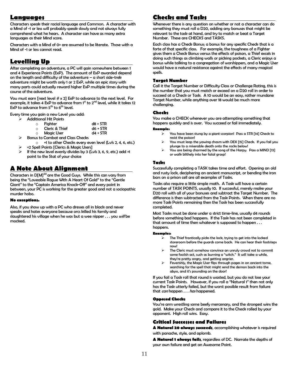## **Languages**

Characters speak their racial language and Common. A character with a Mind of -1 or less will probably speak slowly and not always fully comprehend what he hears. A character can have as many extra languages as their Mind score.

Characters with a Mind of 0+ are assumed to be literate. Those with a Mind of -1 or less cannot read.

## **Levelling Up**

After completing an adventure, a PC will gain somewhere between 1 and 4 Experience Points (ExP). The amount of ExP awarded depend on the length and difficulty of the adventure  $-\alpha$  short side-trek adventure might be worth only 1 or 2 ExP, while an epic story with many parts could actually reward higher ExP multiple times during the course of the adventure.

You must earn [next level  $# \times 2$ ] ExP to advance to the next level. For example, it takes 4 ExP to advance from  $1<sup>st</sup>$  to  $2<sup>nd</sup>$  level, while it takes 12 ExP to advance from  $5^{\text{th}}$  to  $6^{\text{th}}$  level.

Every time you gain a new Level you add:

> Additional Hit Points

| $\circ$ | Fiahter                   | $d8 + STR$ |
|---------|---------------------------|------------|
| $\cap$  | <b>Cleric &amp; Thief</b> | $d6 + STR$ |
| $\circ$ | Magic User                | $d4 + STR$ |

|   | www.com                          | . . |
|---|----------------------------------|-----|
| ⋗ | Bonus to Combat and Class Checks |     |

o +1 to other Checks every even level (Lvls 2, 4, 6, etc.)

- +2 Spell Points [Clerics & Magic Users]
- $\triangleright$  If the new level evenly divides by 3 (LvIs 3, 6, 9, etc.) add +1 point to the Stat of your choice

## **A Note About Alignment**

Characters in  $D[M]^{20}$  are the Good Guys. While this can vary from being the "Loveable Rogue With A Heart Of Gold" to the "Gentle Giant" to the "Captain America Knock-Off" and every point in between, your PC is working for the greater good and not a sociopathic murder hobo.

### **No exceptions.**

Also, if you show up with a PC who dresses all in black and never speaks and hates everyone because orcs killed his family and slaughtered his village when he was but a wee nipper  $\dots$  you will be mocked.

## **Checks and Tasks**

Whenever there is any question on whether or not a character can do something they must roll a D20, adding any bonuses that might be relevant to the task at hand, and try to match or beat a Target Number. These are CHECKS and TASKS.

Each class has a Check Bonus; a bonus for any specific Check that is a forte of that specific class. For example, the toughness of a Fighter gives them a Check Bonus versus the effects of poison, a Thief excels in doing such things as climbing walls or picking pockets, a Cleric enjoys a bonus while talking to a congregation of worshippers, and a Magic User would have a natural resistance against the effects of many magical spells.

### **Target Number**

Call it the Target Number or Difficulty Class or Challenge Rating, this is the number that you must match or exceed on a D20 roll in order to succeed at a Check or Task. A 10 would be an easy, rather mundane Target Number, while anything over 18 would be much more challenging.

### **Checks**

You make a CHECK whenever you are attempting something that happens quickly and is over. You succeed or fail immediately.

#### **Example:**

- $\triangleright$  You have been stung by a giant scorpion! Pass a STR [14] Check to resist the poison!
- $\triangleright$  You must leap the yawing chasm with DEX [15] Check. If you fail you plunge to a miserable death onto the rocks below!
- $\triangleright$  You are being charmed by the song of the Harpy. Pass a MIND [13] or walk blithely into her fatal grasp!

### **Tasks**

Successfully completing a TASK takes time and effort. Opening an old and rusty lock, deciphering an ancient manuscript, or bending the iron bars on a prison cell are all examples of Tasks.

Tasks also require a little simple math. A Task will have a certain number of TASK POINTS, usually 10. If successful, merely make your D20 roll with all of your bonuses and subtract the Target Number. The difference is then subtracted from the Task Points. When there are no more Task Points remaining then the Task has been successfully completed.

Most Tasks must be done under a strict time-line, usually d4 rounds before something bad happens. If the Task has not been completed in that amount of time then whatever is supposed to happen . . . happens.

#### **Examples:**

- $\triangleright$  The Thief frantically picks the lock, trying to get into the locked storeroom before the guards come back. He can hear their footsteps now!
- The Cleric must somehow convince an unruly crowd not to commit some foolish act, such as burning a "witch." It will take a while, they're pretty angry, and getting angrier.
- Feverishly, the Magic User flips through pages in an ancient tome, searching for the spell that might send the demon back into the abyss, and it's pounding on the door!

If you fail a Task roll that round is wasted, but you do not lose your current Task Points. However, if you roll a "Natural 1" then not only has the Task utterly failed, but the worst possible result from failure that *can* happen . . . has happened.

### **Opposed Checks**

You're arm wrestling some beefy mercenary, and the strongest wins the gold. Make your Check and compare it to the Check rolled by your opponent. High roll wins. Easy.

### **Critical Successes and Failures**

**A Natural 20 always succeeds**, accomplishing whatever is required with panache, style, and aplomb.

**A Natural 1 always fails**, regardless of DC. Narrate the depths of your own failure and get an Awesome Point.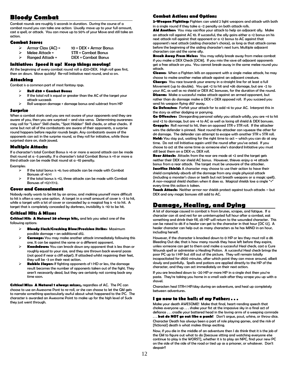## **Bloody Combat**

Combat rounds are roughly 5 seconds in duration. During the course of a combat round you can take one action: Usually move up to your full amount, cast a spell, or attack. You can move up to 50% of your Move and still take an action.

- **Combat Scores** 
	- Armor Class (AC) =  $10 + DEX + Armor Bonus$ <br>
	Alelee Attack =  $STR + Combot$  Bonus Melee Attack = STR + Combat Bonus
	-
- DEX + Combat Bonus
- **Initiative: Speed it up! Keep things moving!**

At the beginning of every combat round roll a d20+DEX. High roll goes first, then on down. Move quickly! Re-roll Initiative next round, and so on.

### **Attacking**

Combat is a common part of most fantasy rpgs.

- **Roll d20 + Combat Bonus**  $\triangleright$  If the total roll is equal or greater than the AC of the target your attack succeeds
- Roll weapon damage + damage bonus and subtract from HP

#### **Surprise**

When a combat starts and you are not aware of your opponents and they are aware of you, then you are surprised – and vice versa. Determining awareness may call for "Listen" Skill checks, "Spot Hidden" Skill checks, or other checks. If some but not all of the combatants are aware of their opponents, a surprise round happens before regular rounds begin. Any combatants aware of the opponents can act in the surprise round, so they roll for initiative, while those surprised stare on, slack jawed.

#### **Multiple Attacks**

If a character's total Combat Bonus is +6 or more a second attack can be made that round at a -5 penalty. If a character's total Combat Bonus is +11 or more a third attack can be made that round at a -10 penalty.

Examples:

- $\triangleright$  If the total bonus is +6; two attacks can be made with Combat Bonuses of +6/+1
- If the total bonus is +12, three attacks can be made with Combat Bonuses of +12/+7/+2.

#### **Cover and Concealment**

Nobody really wants to be hit by an arrow, and making yourself more difficult to hit is often a very wise option. A target in a small amount of cover is -3 to hit, while a target with a lot of cover or concealed by a magical fog is -6 to hit. A target that is completely concealed by darkness, invisibility is -10 to be hit.

### **Critical Hits & Misses**

**Critical Hit: A Natural 20 always hits,** and lets you select one of the following options:

- **Bloody Slash/Crushing Blow/Precision Strike:** Maximum possible damage + an additional d12.
- **Carnage:** You may make another attack immediately following this one. It can be against the same or a different opponent.
- **Knockdown:** You can knock down any opponent that is less than or roughly equal to your size, and they are thrown back several paces (not good if near a cliff edge!). If attacked whilst regaining their feet, they will be -3 on their next action.
- **Rabble Slayer:** If fighting opponents of 1 HD or less, the damage result becomes the number of opponents taken out of the fight. They aren't necessarily dead, but they are certainly not coming back any time soon.

**Critical Miss: A Natural 1 always misses,** regardless of AC. The PC can choose to use an Awesome Pont to re-roll, or she can choose to let the GM gets to narrate something spectacularly awful about what happened to the PC. The character is awarded an Awesome Point to make up for the high level of Suck they just went through.

### **Combat Actions and Options**

**2-Weapon Fighting:** Fighters can wield 2 light weapons and attack with both in a single round if they take a -2 penalty on both attack rolls.

Aid Another: You may sacrifice your attack to help an adjacent ally. Make an attack roll against AC 10. If successful, the ally gains either  $\alpha$  +2 bonus on his next attack roll against that opponent or a +2 bonus to AC against that opponent's next attack (aiding character's choice), as long as that attack comes before the beginning of the aiding character's next turn. Multiple adjacent characters can aid the same ally.

**Break Away From Melee:** You may safely break away from melee combat if you make a DEX Check [DC18]. If you miss the save all adjacent opponents get a free attack on you. You cannot break away in the same melee round you attack.

**Cleave:** When a Fighters kills an opponent with a single melee attack, he may choose to make another melee attack against an adjacent creature.

**Charge:** You race towards your enemy in a straight line for at least a full Movement (up to double). You get +2 to hit and +d6 damage, but are -2 to your AC, as well as no shield or DEX AC bonusses, for the duration of the round. **Disarm:** Make a successful melee attack against an armed opponent, but rather than do damage make a DEX v DEX opposed roll. If you succeed you send his weapon flying d10' away.

**Go Defensive:** Forfeit your attack for to add +4 to your AC. Interpret this in the story as either dodging or parrying.

**Go Offensive:** Disregarding personal safety you attack wildly, you are +4 to hit and +2 to damage, but are -4 to AC as well as losing all shield & DEX bonuses. **Grapple:** Roll normal to hit, then an opposed STR v STR roll. If the attacker wins the defender is pinned. Next round the attacker can squeeze the other for d4 damage. The defender can attempt to escape with another STR v STR roll. Hold: You stay put, waiting for the right time to act - which you can do at any time. Do not roll Initiative again until the round after you've acted. If you choose to act at the same time as someone else's standard Initiative you must still beat them on a DEX vs. DEX roll.

Rear Attack: Attacks from the rear are made at +2 and the target gets neither their DEX nor shield AC bonus. However, thieves enjoy a +4 attack bonus from a rear attack. The target must be unaware of the attacker. **Sacrifice Shield:** A character may choose to use their action to have their shield completely absorb all the damage from any single physical attack (including a monster's claws or teeth but not breath weapons or a magic spell). A non-magical shield shatters when it does so. Magical shields lose a single "+" every time this action is taken.

**Touch Attack:** Neither armor nor shields protect against touch attacks – but DEX and any magic bonuses still add to AC.

## **Damage, Healing, and Dying**

A lot of damage caused in combat is from bruises, scrapes, and fatigue. If a character can sit and rest for an uninterrupted full hour after a combat, eat something and drink their fill, d3 HP will return to the wounded character. This can be raised to d6 if a healer can get to the character in that hour [DC 12]. A healer character can help out as many characters as he has MIND in an hour, including herself.

However, if the character is knocked down to 0 HP or less they must roll a d6 Bleeding Out die; that is how many rounds they have left before they expire, unless someone can get to them and make a successful Heal check, cast a Cure Wounds spell or administer a Healing Potion. A successful Heal check brings the poor PC up to 1 HP but still out of the picture. They will remain totally incapacitated for d100 minutes, after which point they can move around, albeit slowly and painfully. Spells and potions are applied directly to the HP of the character, and they can act immediately on their next action.

If you are knocked down to -20 HP or more HP in a single shot then you're paste. They're taking you home in a small sack after they scrape you up with a shovel.

Characters heal STR+1 HP/day during an adventure, and heal up completely between adventures.

### **I go now to the halls of my Fathers . . .**

Make your death AWESOME! Make that final, heart-rending speech that chokes everyone up . . . shake your fist at the impassive sky in a final act of defiance . . . cradle your battered head in the loving arms of a weeping comrade . . . **but do NOT go out like a punk!** Don't argue, pout, whine, or throw dice. Character Death has always been a part of role playing games, and the risk of [fictional] death is what makes things exciting.

Now, if you die in the middle of an adventure then I do think that it is the job of the GM to figure out what to do [because sitting and watching everyone else continue to play is the WORST], whether it is to play an NPC, find your new PC on the side of the side of the road or tied up as a prisoner, or whatever. Don't despair!!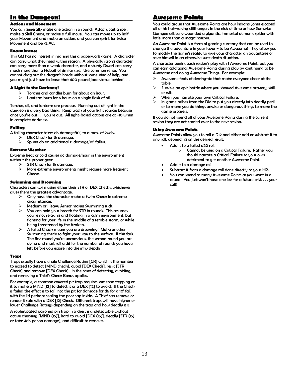## **In the Dungeon!**

### **Actions and Movement**

You can generally make one action in a round: Attack, cast a spell, make a Skill Check, or make a full move. You can move up to half your Movement and make an action, and you can sprint for twice Movement and be -2 AC.

#### **Encumbrance**

This GM has no interest in making this a paperwork game. A character can carry what they need within reason. A physically strong character can carry more than a weak character, and a sturdy Dwarf can carry much more than a Hobbit of similar size. Use common sense. You cannot drag out the dragon's horde without some kind of help, and you might just have to leave that 400 pound jade statue behind . . .

### **A Light in the Darkness!**

- Torches and candles burn for about an hour.
- Lanterns burn for 6 hours on a single flask of oil.

Torches, oil, and lanterns are precious. Running out of light in the dungeon is a very bad thing. Keep track of your light source; because once you're out . . . you're out. All sight-based actions are at -10 when in complete darkness.

### **Falling**

A falling character takes d6 damage/10', to a max. of 20d6.

DEX Check for 1/2 damage.  $\triangleright$  Spikes do an additional +1 damage/10' fallen.

### **Extreme Weather**

Extreme heat or cold causes d6 damage/hour in the environment without the proper gear.

- STR Check for ½ damage.
- $\triangleright$  More extreme environments might require more frequent **Checks**

### **Swimming and Drowning**

Characters can swim using either their STR or DEX Checks, whichever gives them the greatest advantage.

- Only have the character make a Swim Check in extreme circumstances.
- Medium or Heavy Armor makes Swimming suck.
- You can hold your breath for STR in rounds. This assumes you're not relaxing and floating in a calm environment, but fighting for your life in the middle of a terrible storm, or while being threatened by the Kraken.
- $\triangleright$  A failed Check means you are drowning! Make another Swimming check to fight your way to the surface. If this fails: The first round you're unconscious, the second round you are dying and must roll a d6 for the number of rounds you have left before you expire into the inky depths!

#### **Traps**

Traps usually have a single Challenge Rating [CR] which is the number to exceed to detect [MIND check], avoid [DEX Check], resist [STR Check] and remove [DEX Check]. In the cases of detecting, avoiding, and removing a Thief's Check Bonus applies.

For example, a common covered pit trap requires someone stepping on it to make a MIND [12] to detect it or a DEX [12] to avoid. If the Check is failed the effect is to fall into the pit for damage for d6 for a 10' fall, with the lid perhaps sealing the poor sap inside. A Thief can remove or render it safe with a DEX [12] Check. Different traps will have higher or lower Challenge Ratings depending on the trap and how deadly it is.

A sophisticated poisoned pin trap in a chest is undetectable without active checking [MIND (15)], hard to avoid [DEX (15)], deadly [STR (15) or take 4d6 poison damage], and difficult to remove.

## **Awesome Points**

You could argue that Awesome Points are how Indiana Jones escaped all of his hair-raising cliffhangers in the nick of time or how Samwise Gamgee critically wounded a gigantic, immortal demonic spider with little more than a magic hairpin.

An Awesome Point is a form of gaming currency that can be used to change the adventure in your favor ~ to be Awesome! They allow you to modify the game's reality to give your character an advantage or save himself in an otherwise sure-death situation.

A character begins each session's play with 1 Awesome Point, but you can earn additional Awesome Points during play by continuing to be Awesome and doing Awesome Things. For example:

- Awesome feats of derring-do that make everyone cheer at the table.
- Survive an epic battle where you showed Awesome bravery, skill, or wit.
- When you narrate your own Critical Failure.
- In-game bribes from the DM to put you directly into deadly peril or to make you do things unwise or dangerous things to make the game progress.

If you do not spend all of your Awesome Points during the current session they are not carried over to the next session.

#### **Using Awesome Points**

Awesome Points allow you to roll a D12 and either add or subtract it to any roll, depending on the desired result.

- Add it to a failed d20 roll.
	- o Cannot be used on a Critical Failure. Rather you should narrate a Critical Failure to your own detriment to get another Awesome Point.
- Add it to a damage roll.
- Subtract it from a damage roll done directly to your HP.
- You can spend as many Awesome Points as you want in a round. You just won't have one less for a future crisis . . . your call!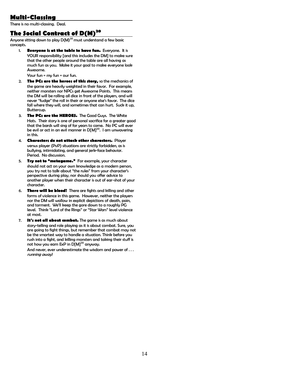## **Multi-Classing**

There is no multi-classing. Deal.

## **The Social Contract of D(M)<sup>20</sup>**

Anyone sitting down to play D(M)<sup>20</sup> must understand a few basic concepts.

1. **Everyone is at the table to have fun.** Everyone. It is YOUR responsibility [and this includes the DM] to make sure that the other people around the table are all having as much fun as you. Make it your goal to make everyone look Awesome.

Your fun = my fun = our fun.

- 2. **The PCs are the heroes of this story,** so the mechanics of the game are heavily weighted in their favor. For example, neither monsters nor NPCs get Awesome Points. This means the DM will be rolling all dice in front of the players, and will never "fudge" the roll in their or anyone else's favor. The dice fall where they will, and sometimes that can hurt. Suck it up, Buttercup.
- 3. **The PCs are the HEROES.** The Good Guys. The White Hats. Their story is one of personal sacrifice for a greater good that the bards will sing of for years to come. No PC will ever be evil or act in an evil manner in  $D[M]^{20}$ . I am unwavering in this.
- 4. **Characters do not attack other characters.** Player versus player (PvP) situations are strictly forbidden, as is bullying, intimidating, and general jerk-face behavior. Period. No discussion.
- 5. **Try not to "metagame."** For example, your character should not act on your own knowledge as a modern person, you try not to talk about "the rules" from your character's perspective during play, nor should you offer advice to another player when their character is out of ear-shot of your character.
- 6. **There will be blood!** There are fights and killing and other forms of violence in this game. However, neither the players nor the DM will wallow in explicit depictions of death, pain, and torment. We'll keep the gore down to a roughly PG level. Think "Lord of the Rings" or "Star Wars" level violence at most.
- 7. **It's not all about combat.** The game is as much about story-telling and role playing as it is about combat. Sure, you are going to fight things, but remember that combat may not be the smartest way to handle a situation. Think before you rush into a fight, and killing monsters and taking their stuff is not how you earn ExP in D[M]<sup>20</sup> anyway.

And never, ever underestimate the wisdom and power of ... running away!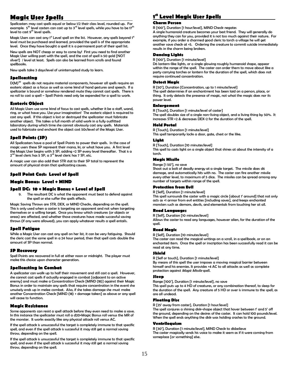## **Magic User Spells**

Spellcasters may cast spells equal or below 1/2 their class level, rounded up. For example:  $5^{\text{th}}$  level casters can cast up to  $3^{\text{rd}}$  level spells, while you have to be 17 $^{\text{th}}$ level to cast 9<sup>th</sup> level spells.

Magic Users can cast any  $1^{st}$  Level spell on the list. However, any spells beyond  $1^{st}$ level must be purchased and learned, provided the spell is of the appropriate level. Once they have bought a spell it is a permanent part of their spell list.

New spells are NOT cheap or easy to come by! First you need to find another Magic User willing part with the spell, and the cost of spell is 50 gold [NOT silver!] / level at least. Spells can also be learned from scrolls and found spellbooks.

New spells take 3 days/level of uninterrupted study to learn.

### **Spellcasting**

 $D(M)^{20}$  spells do not require material components, however all spells require an esoteric object as a focus as well as some kind of hand gestures and speech. If a spellcaster is bound or somehow rendered mute they cannot cast spells. There is no roll to cast a spell ~ Spell Points need only be expended for a spell to work.

### **Esoteric Object**

All Magic Users use some kind of focus to cast spells, whether it be a staff, wand, ring, or what have you. Use your imagination! The esoteric object is required to cast any spell. If this object is lost or destroyed the spellcaster must fabricate another object. This takes a full month of solid work in a fully outfitted laboratory during which time she cannot obviously cast any spells. Materials used to fabricate and enchant the object cost 50s/level of the Magic User.

### **Spell Points (SP)**

All Spellcasters have a pool of Spell Points to power their spells. In the case of magic users these SP represent their mana, ki, or what have you. A first level the Magic User begins with 3 SP, adding +2 SP every level thereafter. That is a  $2^{nd}$  level cleric has 5 SP, a 3 $^{rd}$  level cleric has 7 SP, etc.

A magic user can also add their STR stat to their SP total to represent the amount of physical strain that spellcasting causes.

### **Spell Point Cost: Level of Spell**

### **Magic Bonus: Level + MIND**

### **Spell DC: 10 + Magic Bonus + Level of Spell**

9. The resultant DC is what the opponent must beat to defend against the spell or else suffer the spells effects.

Magic Saving Throws are STR, DEX, or MIND Checks, depending on the spell. This is only used when a caster is targeting an opponent and not when targeting themselves or a willing target. Once you know which creatures (or objects or areas) are affected, and whether those creatures have made successful saving throws (if any were allowed), you can apply whatever results a spell entails.

### **Spell Fatigue**

While a Magic User can cast any spell on her list, it can be very fatiguing. Should the cleric cast the same spell in a 24 hour period, then that spell costs double the amount of SP than normal.

#### **SP Recovery**

Spell Points are recovered in full at either noon or midnight. The player must make this choice upon character generation.

### **Spellcasting in Combat**

A spellcaster can walk up to half their movement and still cast a spell. However, she cannot cast spells if actually engaged in combat [adjacent to an active enemy] and must make a Concentration Check [MIND (18)] against their Magic Bonus in order to maintain any spells that require concentration in the event she unwisely ends up in melee combat. Also, if she takes damage she must make another Concentration Check [MIND (18) + damage taken] as above or any spell will cease to function.

### **Magic Resistance**

Some opponents can resist a spell attack before they even need to make a save. In this instance the spellcaster must roll a d20+Magic Bonus roll versus the MR of the monster. It works exactly like any physical attack roll versus AC.

If the spell attack is unsuccessful the target is completely immune to that specific spell, and even if the spell attack is successful it may still get a normal saving throw, depending on the spell.

If the spell attack is unsuccessful the target is completely immune to that specific spell, and even if the spell attack is successful it may still get a normal saving throw, depending on the spell.

## **1 st Level Magic User Spells**

#### **Charm Person**

#### R [100'], Duration [1 hour/level], MIND Check negates

A single humanoid creature becomes your best friend. They will generally do anything they can for you, provided it is not too much against their nature. For example, if you order a charmed good cleric to torch a village he will get another save check at +5. Ordering the creature to commit suicide immediately results in the charm being broken.

#### **Dancing Lights**

R [100'], Duration [1 minute/level]

D6 lantern-like lights, or a single glowing roughly humanoid shape, appear within the range of the spell. The caster can order them to move about like a party carrying torches or lantern for the duration of the spell, which does not require continued concentration.

#### **Detect Magic**

R [50'], Duration [Concentration, up to 1 minute/level]

The spell determines if an enchantment has been laid on a person, place, or thing. It only detects the presence of magic, not what the magic does nor its power level.

#### **Enlargement**

R [Touch], Duration [1 minute/level of caster] The spell doubles size of a single non-living object, and a living thing by 50%. It increases STR +2 & decreases DEX-2 for the duration of the spell.

#### **Hold Portal**

R [Touch], Duration [1 minute/level] This spell temporarily locks a door, gate, chest or the like.

#### **Light**

R [Touch], Duration [10 minutes/level] This spell to casts light on a single object that shines at about the intensity of a torch.

#### **Magic Missile**

Range [1 50'], no save

Shoot out a bolt of deadly energy at a single target. The missile does d6 damage, and automatically hits with no. The caster can fire another missile every other level, to maximum of 5 dice. The missiles can be spread among any number of targets within range of the spell.

#### **Protection from Evil**

R [Self], Duration [1 minute/level] This spell surrounds the caster with a magic circle [about 1' around] that not only acts as +1 armor from evil entities [including saves], and keeps enchanted monsters such as demons, devils, and elementals from touching her at all.

### **Read Languages**

R [Self], Duration [10 minutes/level]

Allows the caster to read any languages, however alien, for the duration of the spell.

#### **Read Magic**

R [Self], Duration [10 minutes/level]

The caster can read the magical writings on a scroll, in a spellbook, or on an enchanted item. Once the spell or inscription has been successfully read it can be read at any time.

#### **Shield**

R [Self or touch], Duration [1 minute/level] By means of this spell the user imposes a moving magical barrier between himself and his enemies. It provides +4 AC to all attacks as well as complete protection against Magic Missile spell.

#### **Sleep**

Range [100'], Duration [1 minute/level], no save

This spell puts up to 4 HD of creatures, or any combination thereof, to sleep for the duration of the spell. Any creature of 5 HD or over is immune to the spell, as are all undead.

#### **Floating Disc**

R [25' away from caster], Duration [1 hour/level]

The spell conjures a shining disk-shape object that hover between 1' and 5' off the ground, depending on the desires of the caster. It can hold 100 pounds/level. When the spell ends anything the disk was holding crashes to the ground.

#### **Ventriloquism**

R [30'], Duration [1 minute/level], MIND Check to disbelieve The caster magically sends his voice to make it seem as if it were coming from someplace [or something] else.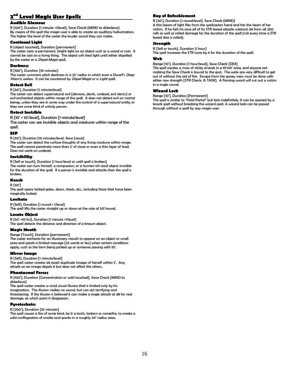#### **2 nd Level Magic User Spells**

### **Audible Glamour**

R [100'], Duration [1 minute +1/level], Save Check [MIND to disbelieve] By means of this spell the magic-user is able to create an auditory hallucination. The higher the level of the caster the louder sound they can make.

#### **Continual Light**

R [object touched], Duration [permanent]

The caster casts a permanent, bright light on an object such as a wand or coin. It cannot be cast on a living thing. The object will shed light until either dispelled by the caster or a Dispel Magic spell.

#### **Darkness**

R [100'], Duration [10 minutes]

The caster summons pitch darkness in a 25' radius in which even a Dwarf's Deep Vision is useless. It can be countered by Dispel Magic or a Light spell.

### **Detect Evil**

R [50'], Duration [1 minute/level]

The caster can detect supernatural evil [demons, devils, undead, evil clerics] or evil enchanted objects within range of the spell. It does not detect evil on mortal beings, unless they are in some way under the control of a supernatural entity or they are some kind of unholy person.

#### **Detect Invisible**

R [10' + 10'/level], Duration [1 minute/level]

The caster can see invisible objects and creatures within range of the spell.

#### **ESP**

R [50'], Duration [10 minutes/level, Save [none]

The caster can detect the surface thoughts of any living creature within range. The spell cannot penetrate more than 2' of stone or even a thin layer of lead. Does not work on undead.

#### **Invisibility**

R [Self or touch], Duration [1 hour/level or until spell is broken] The caster can turn himself, a companion, or a human-ish sized object invisible for the duration of the spell. If a person is invisible and attacks then the spell is broken.

#### **Knock**

R [50']

The spell opens locked gates, doors, chests, etc., including those that have been magically locked.

#### **Levitate**

R [Self], Duration [1 round + 1/level] The spell lifts the caster straight up or down at the rate of 50'/round.

#### **Locate Object**

R [50' +10'/lvl], Duration [1 minute +1/level] The spell detects the distance and direction of a known abject.

#### **Magic Mouth**

Range [Touch], Duration [permanent]

The caster enchants for an illusionary mouth to appear on an object or small area and speak a limited message [25 words or less] when certain conditions apply, such as the item being picked up or someone passing with 10'.

### **Mirror Image**

R [Self], Duration [1 minute/level] The spell caster creates d4 exact duplicate images of herself within 5'. Any attack on an image dispels it but does not affect the others.

#### **Phantasmal Forces**

R [100'], Duration [Concentration or until touched], Save Check [MIND to disbelieve]

The spell caster creates a vivid visual illusion that is limited only by his imagination. The illusion makes no sound, but can act terrifying and threatening. If the illusion is believed it can make a single attack at d8 for real damage, at which point it disappears.

#### **Pyrotechnics**

R [200'], Duration [10 minutes]

The spell causes a fire of some kind, be it a torch, lantern or campfire, to create a wild conflagration of smoke and sparks in a roughly 20' radius area.

### **Ray of Enfeeblement**

R [30'], Duration [1 round/level], Save Check [MIND] A thin beam of light flies from the spellcasters hand and hits the heart of her victim. If he fails his save all of his STR based attacks subtract d4 from all d20 rolls as well as rolled damage for the duration of the spell [roll every time a STR based dice is rolled].

### **Strength**

R [Self or touch], Duration [1 hour]

The spell increases the STR score by 4 for the duration of the spell.

#### **Web**

Range [10'], Duration [1 hour/level], Save Check [DEX] This spell creates a mass of sticky strands in a 10'x10' area, and anyone not making the Save Check is bound to the spot. The webs are very difficult to get out of without the aid of fire. Escape from the gooey mess must be done with either raw strength [STR Check, 15 TASK]. A flaming sword will cut out a victim in a single round.

#### **Wizard Lock**

Range [10'], Duration [Permanent]

This spell is similar to "Hold Portal" but lasts indefinitely. It can be opened by a knock spell without breaking the wizard spell. A wizard lock can be passed through without a spell by any magic-user.